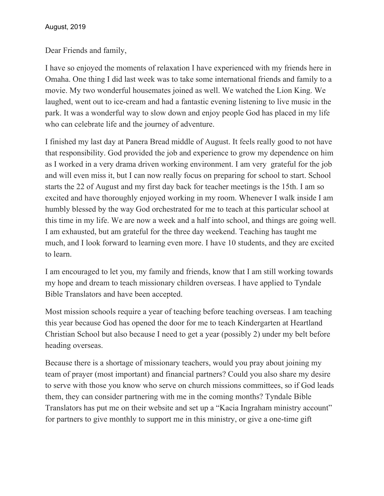Dear Friends and family,

I have so enjoyed the moments of relaxation I have experienced with my friends here in Omaha. One thing I did last week was to take some international friends and family to a movie. My two wonderful housemates joined as well. We watched the Lion King. We laughed, went out to ice-cream and had a fantastic evening listening to live music in the park. It was a wonderful way to slow down and enjoy people God has placed in my life who can celebrate life and the journey of adventure.

I finished my last day at Panera Bread middle of August. It feels really good to not have that responsibility. God provided the job and experience to grow my dependence on him as I worked in a very drama driven working environment. I am very grateful for the job and will even miss it, but I can now really focus on preparing for school to start. School starts the 22 of August and my first day back for teacher meetings is the 15th. I am so excited and have thoroughly enjoyed working in my room. Whenever I walk inside I am humbly blessed by the way God orchestrated for me to teach at this particular school at this time in my life. We are now a week and a half into school, and things are going well. I am exhausted, but am grateful for the three day weekend. Teaching has taught me much, and I look forward to learning even more. I have 10 students, and they are excited to learn.

I am encouraged to let you, my family and friends, know that I am still working towards my hope and dream to teach missionary children overseas. I have applied to Tyndale Bible Translators and have been accepted.

Most mission schools require a year of teaching before teaching overseas. I am teaching this year because God has opened the door for me to teach Kindergarten at Heartland Christian School but also because I need to get a year (possibly 2) under my belt before heading overseas.

Because there is a shortage of missionary teachers, would you pray about joining my team of prayer (most important) and financial partners? Could you also share my desire to serve with those you know who serve on church missions committees, so if God leads them, they can consider partnering with me in the coming months? Tyndale Bible Translators has put me on their website and set up a "Kacia Ingraham ministry account" for partners to give monthly to support me in this ministry, or give a one-time gift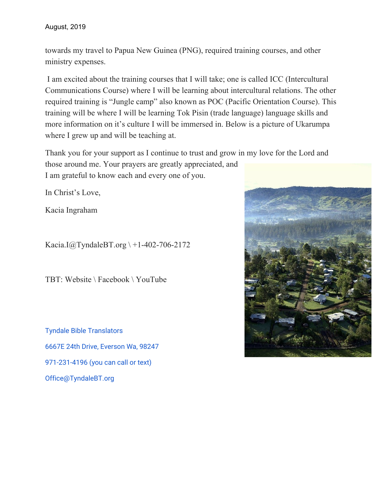## August, 2019

towards my travel to Papua New Guinea (PNG), required training courses, and other ministry expenses.

I am excited about the training courses that I will take; one is called ICC (Intercultural Communications Course) where I will be learning about intercultural relations. The other required training is "Jungle camp" also known as POC (Pacific Orientation Course). This training will be where I will be learning Tok Pisin (trade language) language skills and more information on it's culture I will be immersed in. Below is a picture of Ukarumpa where I grew up and will be teaching at.

Thank you for your support as I continue to trust and grow in my love for the Lord and those around me. Your prayers are greatly appreciated, and I am grateful to know each and every one of you.

In Christ's Love,

Kacia Ingraham

Kacia.I@TyndaleBT.org \ +1-402-706-2172

TBT: Website \ Facebook \ YouTube

Tyndale Bible Translators 6667E 24th Drive, Everson Wa, 98247 971-231-4196 (you can call or text) Office@TyndaleBT.org